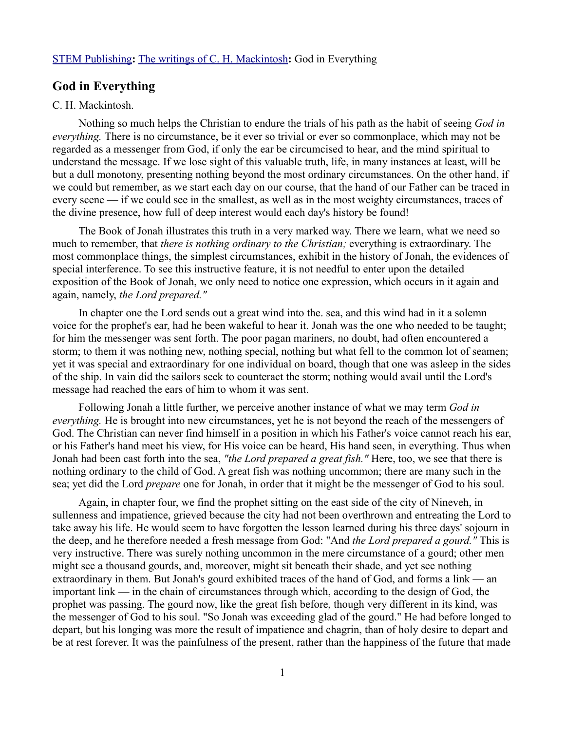## [STEM Publishing](http://www.stempublishing.com/)**:** [The writings of C. H. Mackintosh](http://www.stempublishing.com/authors/mackintosh/index.html)**:** God in Everything

## **God in Everything**

## C. H. Mackintosh.

Nothing so much helps the Christian to endure the trials of his path as the habit of seeing *God in everything.* There is no circumstance, be it ever so trivial or ever so commonplace, which may not be regarded as a messenger from God, if only the ear be circumcised to hear, and the mind spiritual to understand the message. If we lose sight of this valuable truth, life, in many instances at least, will be but a dull monotony, presenting nothing beyond the most ordinary circumstances. On the other hand, if we could but remember, as we start each day on our course, that the hand of our Father can be traced in every scene — if we could see in the smallest, as well as in the most weighty circumstances, traces of the divine presence, how full of deep interest would each day's history be found!

The Book of Jonah illustrates this truth in a very marked way. There we learn, what we need so much to remember, that *there is nothing ordinary to the Christian;* everything is extraordinary. The most commonplace things, the simplest circumstances, exhibit in the history of Jonah, the evidences of special interference. To see this instructive feature, it is not needful to enter upon the detailed exposition of the Book of Jonah, we only need to notice one expression, which occurs in it again and again, namely, *the Lord prepared."* 

In chapter one the Lord sends out a great wind into the. sea, and this wind had in it a solemn voice for the prophet's ear, had he been wakeful to hear it. Jonah was the one who needed to be taught; for him the messenger was sent forth. The poor pagan mariners, no doubt, had often encountered a storm; to them it was nothing new, nothing special, nothing but what fell to the common lot of seamen; yet it was special and extraordinary for one individual on board, though that one was asleep in the sides of the ship. In vain did the sailors seek to counteract the storm; nothing would avail until the Lord's message had reached the ears of him to whom it was sent.

Following Jonah a little further, we perceive another instance of what we may term *God in everything.* He is brought into new circumstances, yet he is not beyond the reach of the messengers of God. The Christian can never find himself in a position in which his Father's voice cannot reach his ear, or his Father's hand meet his view, for His voice can be heard, His hand seen, in everything. Thus when Jonah had been cast forth into the sea, *"the Lord prepared a great fish."* Here, too, we see that there is nothing ordinary to the child of God. A great fish was nothing uncommon; there are many such in the sea; yet did the Lord *prepare* one for Jonah, in order that it might be the messenger of God to his soul.

Again, in chapter four, we find the prophet sitting on the east side of the city of Nineveh, in sullenness and impatience, grieved because the city had not been overthrown and entreating the Lord to take away his life. He would seem to have forgotten the lesson learned during his three days' sojourn in the deep, and he therefore needed a fresh message from God: "And *the Lord prepared a gourd."* This is very instructive. There was surely nothing uncommon in the mere circumstance of a gourd; other men might see a thousand gourds, and, moreover, might sit beneath their shade, and yet see nothing extraordinary in them. But Jonah's gourd exhibited traces of the hand of God, and forms a link — an important link — in the chain of circumstances through which, according to the design of God, the prophet was passing. The gourd now, like the great fish before, though very different in its kind, was the messenger of God to his soul. "So Jonah was exceeding glad of the gourd." He had before longed to depart, but his longing was more the result of impatience and chagrin, than of holy desire to depart and be at rest forever. It was the painfulness of the present, rather than the happiness of the future that made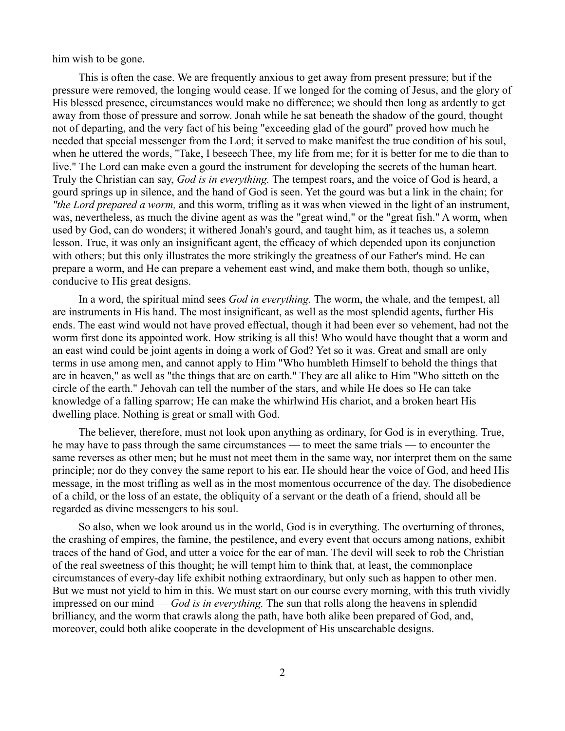him wish to be gone.

This is often the case. We are frequently anxious to get away from present pressure; but if the pressure were removed, the longing would cease. If we longed for the coming of Jesus, and the glory of His blessed presence, circumstances would make no difference; we should then long as ardently to get away from those of pressure and sorrow. Jonah while he sat beneath the shadow of the gourd, thought not of departing, and the very fact of his being "exceeding glad of the gourd" proved how much he needed that special messenger from the Lord; it served to make manifest the true condition of his soul, when he uttered the words, "Take, I beseech Thee, my life from me; for it is better for me to die than to live." The Lord can make even a gourd the instrument for developing the secrets of the human heart. Truly the Christian can say, *God is in everything.* The tempest roars, and the voice of God is heard, a gourd springs up in silence, and the hand of God is seen. Yet the gourd was but a link in the chain; for *"the Lord prepared a worm,* and this worm, trifling as it was when viewed in the light of an instrument, was, nevertheless, as much the divine agent as was the "great wind," or the "great fish." A worm, when used by God, can do wonders; it withered Jonah's gourd, and taught him, as it teaches us, a solemn lesson. True, it was only an insignificant agent, the efficacy of which depended upon its conjunction with others; but this only illustrates the more strikingly the greatness of our Father's mind. He can prepare a worm, and He can prepare a vehement east wind, and make them both, though so unlike, conducive to His great designs.

In a word, the spiritual mind sees *God in everything.* The worm, the whale, and the tempest, all are instruments in His hand. The most insignificant, as well as the most splendid agents, further His ends. The east wind would not have proved effectual, though it had been ever so vehement, had not the worm first done its appointed work. How striking is all this! Who would have thought that a worm and an east wind could be joint agents in doing a work of God? Yet so it was. Great and small are only terms in use among men, and cannot apply to Him "Who humbleth Himself to behold the things that are in heaven," as well as "the things that are on earth." They are all alike to Him "Who sitteth on the circle of the earth." Jehovah can tell the number of the stars, and while He does so He can take knowledge of a falling sparrow; He can make the whirlwind His chariot, and a broken heart His dwelling place. Nothing is great or small with God.

The believer, therefore, must not look upon anything as ordinary, for God is in everything. True, he may have to pass through the same circumstances — to meet the same trials — to encounter the same reverses as other men; but he must not meet them in the same way, nor interpret them on the same principle; nor do they convey the same report to his ear. He should hear the voice of God, and heed His message, in the most trifling as well as in the most momentous occurrence of the day. The disobedience of a child, or the loss of an estate, the obliquity of a servant or the death of a friend, should all be regarded as divine messengers to his soul.

So also, when we look around us in the world, God is in everything. The overturning of thrones, the crashing of empires, the famine, the pestilence, and every event that occurs among nations, exhibit traces of the hand of God, and utter a voice for the ear of man. The devil will seek to rob the Christian of the real sweetness of this thought; he will tempt him to think that, at least, the commonplace circumstances of every-day life exhibit nothing extraordinary, but only such as happen to other men. But we must not yield to him in this. We must start on our course every morning, with this truth vividly impressed on our mind — *God is in everything.* The sun that rolls along the heavens in splendid brilliancy, and the worm that crawls along the path, have both alike been prepared of God, and, moreover, could both alike cooperate in the development of His unsearchable designs.